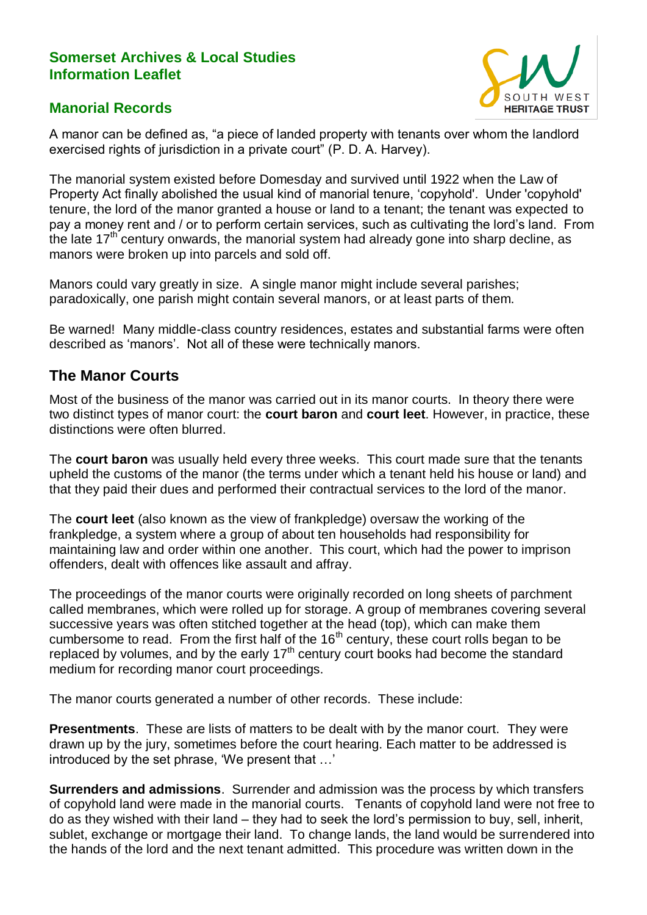#### **Somerset Archives & Local Studies Information Leaflet**



### **Manorial Records**

A manor can be defined as, "a piece of landed property with tenants over whom the landlord exercised rights of jurisdiction in a private court" (P. D. A. Harvey).

The manorial system existed before Domesday and survived until 1922 when the Law of Property Act finally abolished the usual kind of manorial tenure, 'copyhold'. Under 'copyhold' tenure, the lord of the manor granted a house or land to a tenant; the tenant was expected to pay a money rent and / or to perform certain services, such as cultivating the lord's land. From the late  $17<sup>th</sup>$  century onwards, the manorial system had already gone into sharp decline, as manors were broken up into parcels and sold off.

Manors could vary greatly in size. A single manor might include several parishes; paradoxically, one parish might contain several manors, or at least parts of them.

Be warned! Many middle-class country residences, estates and substantial farms were often described as 'manors'. Not all of these were technically manors.

## **The Manor Courts**

Most of the business of the manor was carried out in its manor courts. In theory there were two distinct types of manor court: the **court baron** and **court leet**. However, in practice, these distinctions were often blurred.

The **court baron** was usually held every three weeks. This court made sure that the tenants upheld the customs of the manor (the terms under which a tenant held his house or land) and that they paid their dues and performed their contractual services to the lord of the manor.

The **court leet** (also known as the view of frankpledge) oversaw the working of the frankpledge, a system where a group of about ten households had responsibility for maintaining law and order within one another. This court, which had the power to imprison offenders, dealt with offences like assault and affray.

The proceedings of the manor courts were originally recorded on long sheets of parchment called membranes, which were rolled up for storage. A group of membranes covering several successive years was often stitched together at the head (top), which can make them cumbersome to read. From the first half of the  $16<sup>th</sup>$  century, these court rolls began to be replaced by volumes, and by the early 17<sup>th</sup> century court books had become the standard medium for recording manor court proceedings.

The manor courts generated a number of other records. These include:

**Presentments**. These are lists of matters to be dealt with by the manor court. They were drawn up by the jury, sometimes before the court hearing. Each matter to be addressed is introduced by the set phrase, 'We present that …'

**Surrenders and admissions**. Surrender and admission was the process by which transfers of copyhold land were made in the manorial courts. Tenants of copyhold land were not free to do as they wished with their land – they had to seek the lord's permission to buy, sell, inherit, sublet, exchange or mortgage their land. To change lands, the land would be surrendered into the hands of the lord and the next tenant admitted. This procedure was written down in the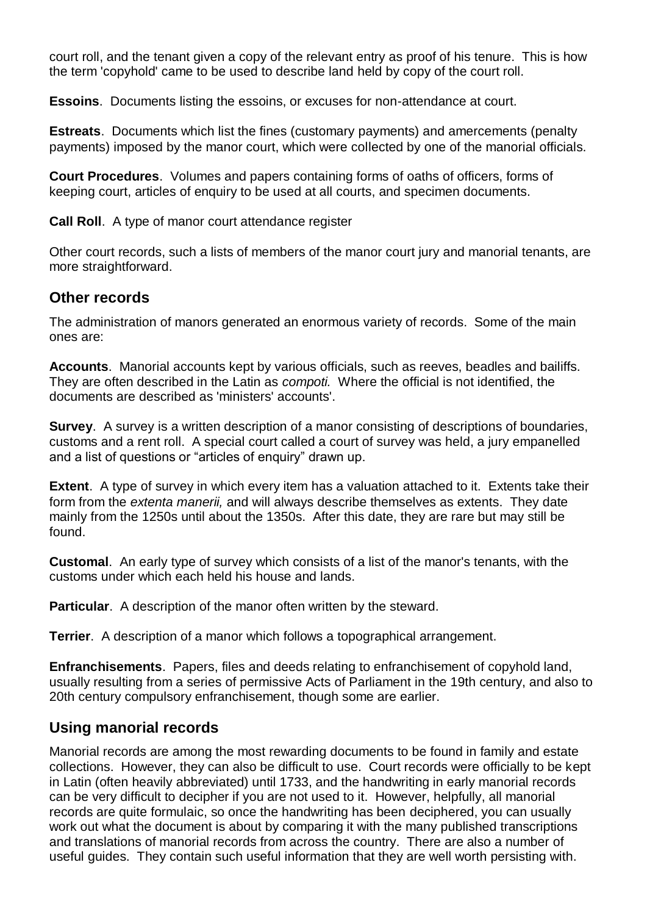court roll, and the tenant given a copy of the relevant entry as proof of his tenure. This is how the term 'copyhold' came to be used to describe land held by copy of the court roll.

**Essoins**. Documents listing the essoins, or excuses for non-attendance at court.

**Estreats**. Documents which list the fines (customary payments) and amercements (penalty payments) imposed by the manor court, which were collected by one of the manorial officials.

**Court Procedures**. Volumes and papers containing forms of oaths of officers, forms of keeping court, articles of enquiry to be used at all courts, and specimen documents.

**Call Roll**. A type of manor court attendance register

Other court records, such a lists of members of the manor court jury and manorial tenants, are more straightforward.

#### **Other records**

The administration of manors generated an enormous variety of records. Some of the main ones are:

**Accounts**. Manorial accounts kept by various officials, such as reeves, beadles and bailiffs. They are often described in the Latin as *compoti.* Where the official is not identified, the documents are described as 'ministers' accounts'.

**Survey**. A survey is a written description of a manor consisting of descriptions of boundaries, customs and a rent roll. A special court called a court of survey was held, a jury empanelled and a list of questions or "articles of enquiry" drawn up.

**Extent**. A type of survey in which every item has a valuation attached to it. Extents take their form from the *extenta manerii,* and will always describe themselves as extents. They date mainly from the 1250s until about the 1350s. After this date, they are rare but may still be found.

**Customal**. An early type of survey which consists of a list of the manor's tenants, with the customs under which each held his house and lands.

**Particular**. A description of the manor often written by the steward.

**Terrier**. A description of a manor which follows a topographical arrangement.

**Enfranchisements**. Papers, files and deeds relating to enfranchisement of copyhold land, usually resulting from a series of permissive Acts of Parliament in the 19th century, and also to 20th century compulsory enfranchisement, though some are earlier.

#### **Using manorial records**

Manorial records are among the most rewarding documents to be found in family and estate collections. However, they can also be difficult to use. Court records were officially to be kept in Latin (often heavily abbreviated) until 1733, and the handwriting in early manorial records can be very difficult to decipher if you are not used to it. However, helpfully, all manorial records are quite formulaic, so once the handwriting has been deciphered, you can usually work out what the document is about by comparing it with the many published transcriptions and translations of manorial records from across the country. There are also a number of useful guides. They contain such useful information that they are well worth persisting with.